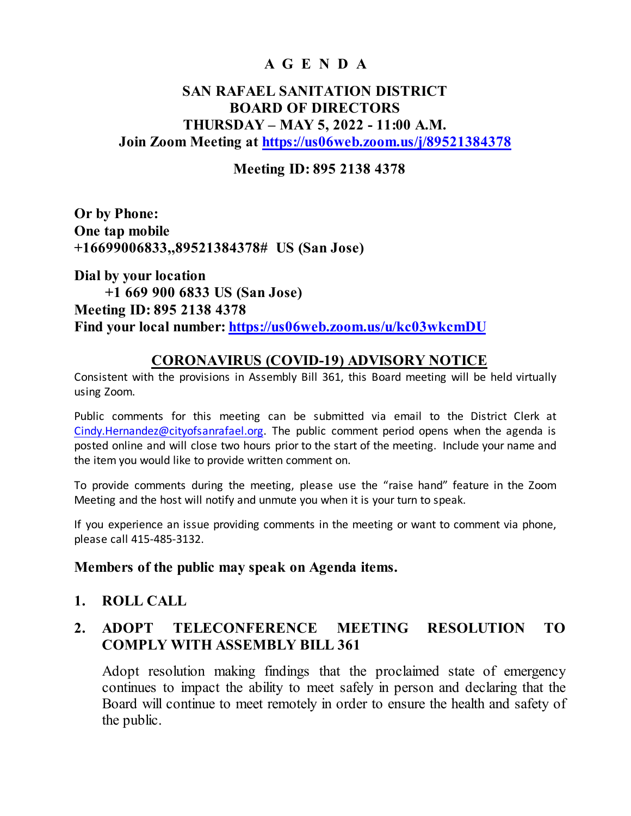# **A G E N D A**

## **SAN RAFAEL SANITATION DISTRICT BOARD OF DIRECTORS THURSDAY – MAY 5, 2022 - 11:00 A.M. Join Zoom Meeting at<https://us06web.zoom.us/j/89521384378>**

#### **Meeting ID: 895 2138 4378**

**Or by Phone: One tap mobile +16699006833,,89521384378# US (San Jose)**

**Dial by your location +1 669 900 6833 US (San Jose) Meeting ID: 895 2138 4378 Find your local number:<https://us06web.zoom.us/u/kc03wkcmDU>**

#### **CORONAVIRUS (COVID-19) ADVISORY NOTICE**

Consistent with the provisions in Assembly Bill 361, this Board meeting will be held virtually using Zoom.

Public comments for this meeting can be submitted via email to the District Clerk at [Cindy.Hernandez@cityofsanrafael.org.](mailto:Cindy.Hernandez@cityofsanrafael.org) The public comment period opens when the agenda is posted online and will close two hours prior to the start of the meeting. Include your name and the item you would like to provide written comment on.

To provide comments during the meeting, please use the "raise hand" feature in the Zoom Meeting and the host will notify and unmute you when it is your turn to speak.

If you experience an issue providing comments in the meeting or want to comment via phone, please call 415-485-3132.

#### **Members of the public may speak on Agenda items.**

#### **1. ROLL CALL**

### **2. ADOPT TELECONFERENCE MEETING RESOLUTION TO COMPLY WITH ASSEMBLY BILL 361**

Adopt resolution making findings that the proclaimed state of emergency continues to impact the ability to meet safely in person and declaring that the Board will continue to meet remotely in order to ensure the health and safety of the public.